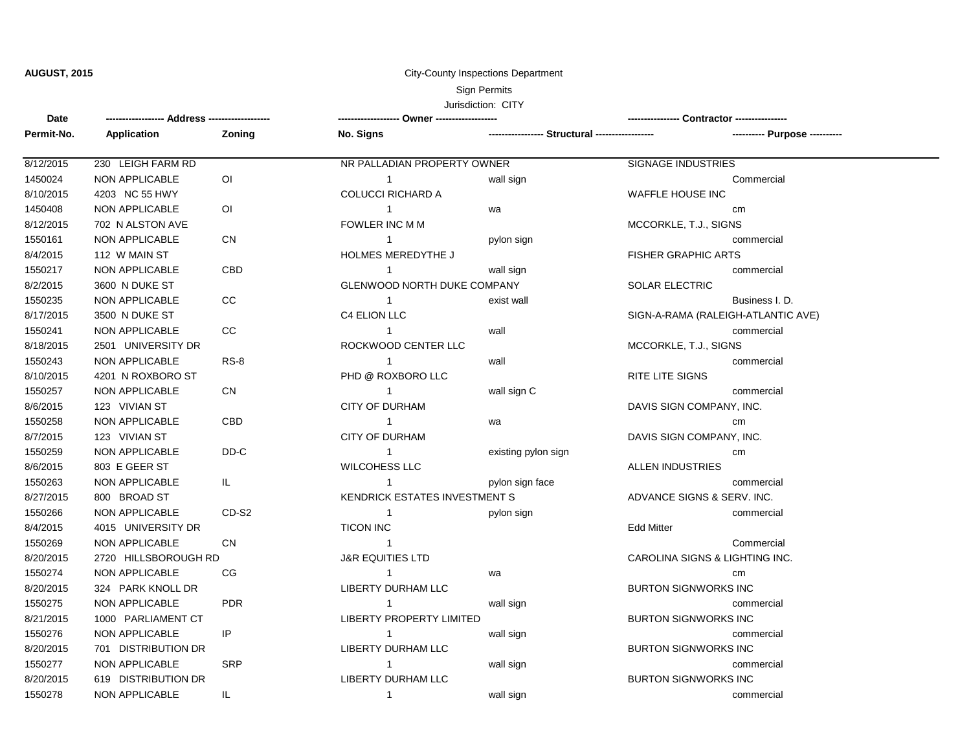## **AUGUST, 2015** City-County Inspections Department Sign Permits

## Jurisdiction: CITY

**Date Zoning** 1 1 1 1 1 1 1 1 1 1 1 1 1 1 1 1 1 8/20/2015 619 DISTRIBUTION DR LIBERTY DURHAM LLC **CONTABUTION SIGNWORKS INC** 8/20/2015 701 DISTRIBUTION DR LIBERTY DURHAM LLC BURTON SIGNWORKS INC 1550277 NON APPLICABLE SRP wall sign commercial 8/21/2015 1000 PARLIAMENT CT LIBERTY PROPERTY LIMITED BURTON SIGNWORKS INC 1550276 NON APPLICABLE IP wall sign commercial 8/20/2015 324 PARK KNOLL DR LIBERTY DURHAM LLC BURTON SIGNWORKS INC 1550275 NON APPLICABLE PDR wall sign commercial 8/20/2015 2720 HILLSBOROUGH RD J&R EQUITIES LTD CAROLINA SIGNS & LIGHTING INC. 1550274 NON APPLICABLE CG wa cm 8/4/2015 4015 UNIVERSITY DR TICON INC TIGON INC Edd Mitter 1550269 NON APPLICABLE CN Commercial 8/27/2015 800 BROAD ST **KENDRICK ESTATES INVESTMENT S** ADVANCE SIGNS & SERV. INC. 1550266 NON APPLICABLE CD-S2 1 pylon sign commercial 8/6/2015 803 E GEER ST WILCOHESS LLC ALLEN INDUSTRIES 1550263 NON APPLICABLE IL pylon sign face commercial 8/7/2015 123 VIVIAN ST CITY OF DURHAM COMPANY, INC. 1550259 NON APPLICABLE DD-C existing pylon sign cm 8/6/2015 123 VIVIAN ST CITY OF DURHAM DAVIS SIGN COMPANY, INC. 1550258 NON APPLICABLE CBD wa cm 8/10/2015 4201 N ROXBORO ST PHD @ ROXBORO LLC RITE LITE SIGNS 1550257 NON APPLICABLE CN wall sign C commercial 8/18/2015 2501 UNIVERSITY DR ROCKWOOD CENTER LLC NEXT AND MCCORKLE, T.J., SIGNS 1550243 NON APPLICABLE RS-8 wall commercial 8/17/2015 3500 N DUKE ST CALL CON LLC CHELION LATER SIGN-A-RAMA (RALEIGH-ATLANTIC AVE) 1550241 NON APPLICABLE CC wall commercial 8/2/2015 3600 N DUKE ST GLENWOOD NORTH DUKE COMPANY SOLAR ELECTRIC 1550235 NON APPLICABLE CC exist wall Business I. D. 8/4/2015 112 W MAIN ST THE STATE REPORTS HOLMES MEREDYTHE JUST AND RESIDENCE ARTS HOLMES MEREDYTHE J 1550217 NON APPLICABLE CBD wall sign commercial 8/12/2015 702 N ALSTON AVE FOWLER INC M M MOCORKLE, T.J., SIGNS 1550161 NON APPLICABLE CN CN 2009 COMMERCIAL COMMERCIAL COMMERCIAL COMMERCIAL COMMERCIAL COMMERCIAL COMMERCIAL 8/10/2015 4203 NC 55 HWY COLUCCI RICHARD A WAFFLE HOUSE INC 1450408 NON APPLICABLE OI wa cm 8/12/2015 230 LEIGH FARM RD NR PALLADIAN PROPERTY OWNER SIGNAGE INDUSTRIES 1450024 NON APPLICABLE OI wall sign Commercial **------------------ Address ------------------- ------------------- Owner ------------------- ---------------- Contractor ---------------- Permit-No. Application No. Signs ----------------- Structural ------------------ ---------- Purpose ----------**

1

1550278 NON APPLICABLE IL COMMERCIAL SUBSEXUARIES IN SUBSEXUARIES IN SUBSEXUARIES IN SUBSEXUARIES IN SUBSEXUAR